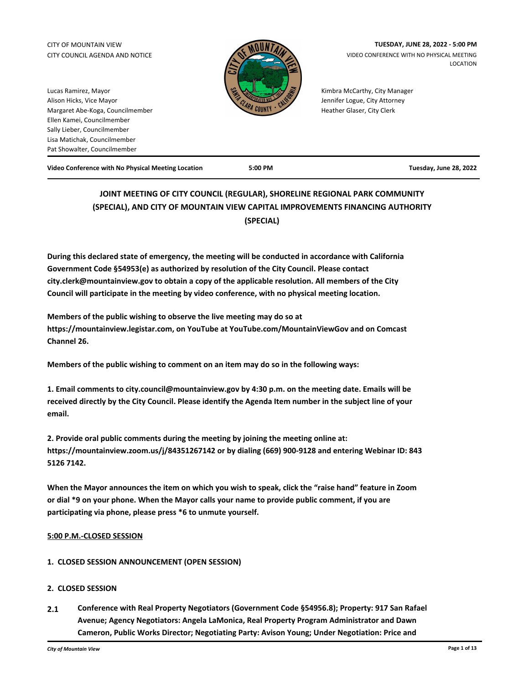# CITY COUNCIL AGENDA AND NOTICE



CITY OF MOUNTAIN VIEW **TUESDAY, JUNE 28, 2022 - 5:00 PM**  VIDEO CONFERENCE WITH NO PHYSICAL MEETING LOCATION

> Kimbra McCarthy, City Manager Jennifer Logue, City Attorney Heather Glaser, City Clerk

Lucas Ramirez, Mayor Alison Hicks, Vice Mayor Margaret Abe-Koga, Councilmember Ellen Kamei, Councilmember Sally Lieber, Councilmember Lisa Matichak, Councilmember Pat Showalter, Councilmember

**Video Conference with No Physical Meeting Location 5:00 PM Tuesday, June 28, 2022**

# **JOINT MEETING OF CITY COUNCIL (REGULAR), SHORELINE REGIONAL PARK COMMUNITY (SPECIAL), AND CITY OF MOUNTAIN VIEW CAPITAL IMPROVEMENTS FINANCING AUTHORITY (SPECIAL)**

**During this declared state of emergency, the meeting will be conducted in accordance with California Government Code §54953(e) as authorized by resolution of the City Council. Please contact city.clerk@mountainview.gov to obtain a copy of the applicable resolution. All members of the City Council will participate in the meeting by video conference, with no physical meeting location.**

**Members of the public wishing to observe the live meeting may do so at https://mountainview.legistar.com, on YouTube at YouTube.com/MountainViewGov and on Comcast Channel 26.**

**Members of the public wishing to comment on an item may do so in the following ways:** 

**1. Email comments to city.council@mountainview.gov by 4:30 p.m. on the meeting date. Emails will be received directly by the City Council. Please identify the Agenda Item number in the subject line of your email.** 

**2. Provide oral public comments during the meeting by joining the meeting online at: https://mountainview.zoom.us/j/84351267142 or by dialing (669) 900-9128 and entering Webinar ID: 843 5126 7142.**

**When the Mayor announces the item on which you wish to speak, click the "raise hand" feature in Zoom or dial \*9 on your phone. When the Mayor calls your name to provide public comment, if you are participating via phone, please press \*6 to unmute yourself.**

### **5:00 P.M.-CLOSED SESSION**

**1. CLOSED SESSION ANNOUNCEMENT (OPEN SESSION)**

### **2. CLOSED SESSION**

**2.1 [Conference with Real Property Negotiators \(Government Code §54956.8\); Property: 917 San Rafael](http://mountainview.legistar.com/gateway.aspx?m=l&id=6551)  Avenue; Agency Negotiators: Angela LaMonica, Real Property Program Administrator and Dawn Cameron, Public Works Director; Negotiating Party: Avison Young; Under Negotiation: Price and**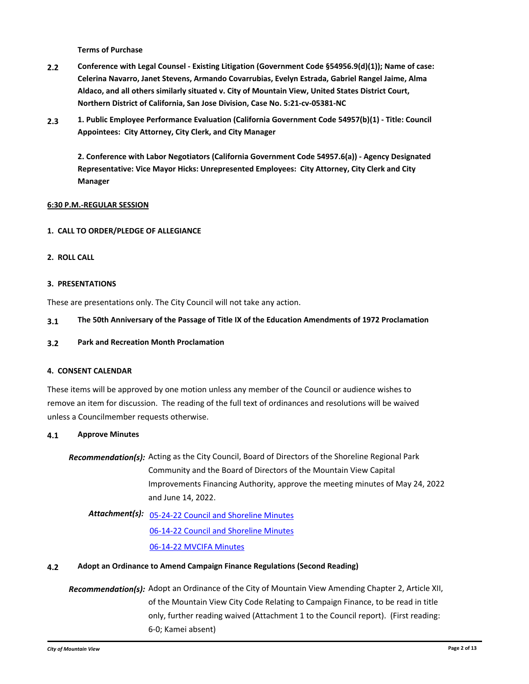**[Terms of Purchase](http://mountainview.legistar.com/gateway.aspx?m=l&id=6551)**

- **2.2 [Conference with Legal Counsel Existing Litigation \(Government Code §54956.9\(d\)\(1\)\); Name of case:](http://mountainview.legistar.com/gateway.aspx?m=l&id=6650)  Celerina Navarro, Janet Stevens, Armando Covarrubias, Evelyn Estrada, Gabriel Rangel Jaime, Alma Aldaco, and all others similarly situated v. City of Mountain View, United States District Court, Northern District of California, San Jose Division, Case No. 5:21-cv-05381-NC**
- **2.3 [1. Public Employee Performance Evaluation \(California Government Code 54957\(b\)\(1\) Title: Council](http://mountainview.legistar.com/gateway.aspx?m=l&id=6649)  Appointees: City Attorney, City Clerk, and City Manager**

**2. Conference with Labor Negotiators (California Government Code 54957.6(a)) - Agency Designated Representative: Vice Mayor Hicks: Unrepresented Employees: City Attorney, City Clerk and City Manager**

### **6:30 P.M.-REGULAR SESSION**

### **1. CALL TO ORDER/PLEDGE OF ALLEGIANCE**

**2. ROLL CALL**

### **3. PRESENTATIONS**

These are presentations only. The City Council will not take any action.

### **3.1 [The 50th Anniversary of the Passage of Title IX of the Education Amendments of 1972 Proclamation](http://mountainview.legistar.com/gateway.aspx?m=l&id=6588)**

**3.2 [Park and Recreation Month Proclamation](http://mountainview.legistar.com/gateway.aspx?m=l&id=6344)**

### **4. CONSENT CALENDAR**

These items will be approved by one motion unless any member of the Council or audience wishes to remove an item for discussion. The reading of the full text of ordinances and resolutions will be waived unless a Councilmember requests otherwise.

### **4.1 [Approve Minutes](http://mountainview.legistar.com/gateway.aspx?m=l&id=6652)**

Recommendation(s): Acting as the City Council, Board of Directors of the Shoreline Regional Park Community and the Board of Directors of the Mountain View Capital Improvements Financing Authority, approve the meeting minutes of May 24, 2022 and June 14, 2022.

Attachment(s): **[05-24-22 Council and Shoreline Minutes](http://mountainview.legistar.com/gateway.aspx?M=F&ID=4f9b5d8f-46bf-438d-94ea-42a767c65702.pdf)** [06-14-22 Council and Shoreline Minutes](http://mountainview.legistar.com/gateway.aspx?M=F&ID=66f6b7d4-a529-4a53-8bf5-60eb505e0044.pdf) [06-14-22 MVCIFA Minutes](http://mountainview.legistar.com/gateway.aspx?M=F&ID=9016e35d-dc2f-4e59-ab10-a2816f48ecae.pdf)

### **4.2 [Adopt an Ordinance to Amend Campaign Finance Regulations \(Second Reading\)](http://mountainview.legistar.com/gateway.aspx?m=l&id=6526)**

Recommendation(s): Adopt an Ordinance of the City of Mountain View Amending Chapter 2, Article XII, of the Mountain View City Code Relating to Campaign Finance, to be read in title only, further reading waived (Attachment 1 to the Council report). (First reading: 6-0; Kamei absent)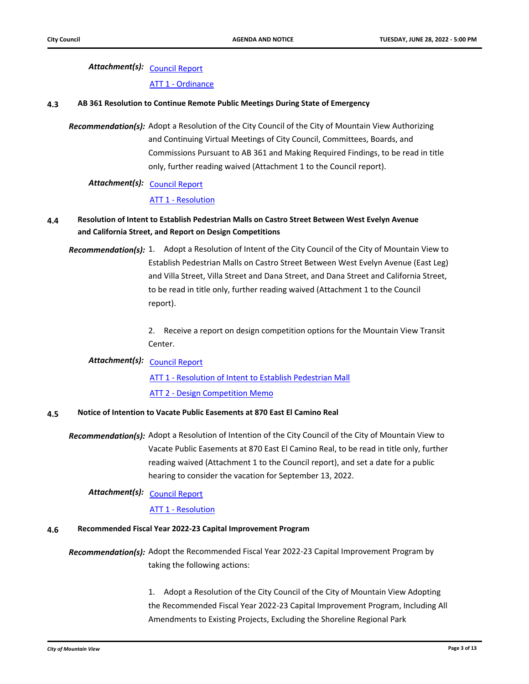# Attachment(s): <u>[Council Report](http://mountainview.legistar.com/gateway.aspx?M=F&ID=b2cdd497-c26a-46b8-9d2a-68693ab98349.pdf)</u>

#### [ATT 1 - Ordinance](http://mountainview.legistar.com/gateway.aspx?M=F&ID=5b50c9f0-3dca-49e7-a978-f510cf8d7616.pdf)

#### **4.3 [AB 361 Resolution to Continue Remote Public Meetings During State of Emergency](http://mountainview.legistar.com/gateway.aspx?m=l&id=6459)**

Recommendation(s): Adopt a Resolution of the City Council of the City of Mountain View Authorizing and Continuing Virtual Meetings of City Council, Committees, Boards, and Commissions Pursuant to AB 361 and Making Required Findings, to be read in title only, further reading waived (Attachment 1 to the Council report).

# Attachment(s): <u>[Council Report](http://mountainview.legistar.com/gateway.aspx?M=F&ID=5e2c3330-cf40-4beb-8609-3eed1900db64.pdf)</u>

### [ATT 1 - Resolution](http://mountainview.legistar.com/gateway.aspx?M=F&ID=5ba83bc3-3da0-4269-89e3-e2408bc02656.pdf)

# **4.4 [Resolution of Intent to Establish Pedestrian Malls on Castro Street Between West Evelyn Avenue](http://mountainview.legistar.com/gateway.aspx?m=l&id=6369)  and California Street, and Report on Design Competitions**

Recommendation(s): 1. Adopt a Resolution of Intent of the City Council of the City of Mountain View to Establish Pedestrian Malls on Castro Street Between West Evelyn Avenue (East Leg) and Villa Street, Villa Street and Dana Street, and Dana Street and California Street, to be read in title only, further reading waived (Attachment 1 to the Council report).

> 2. Receive a report on design competition options for the Mountain View Transit Center.

# Attachment(s): <u>[Council Report](http://mountainview.legistar.com/gateway.aspx?M=F&ID=482de92c-087e-443b-adb8-78d462740fef.pdf)</u>

[ATT 1 - Resolution of Intent to Establish Pedestrian Mall](http://mountainview.legistar.com/gateway.aspx?M=F&ID=729fef28-ad9e-44fd-9244-dfb1ee7cf149.pdf) [ATT 2 - Design Competition Memo](http://mountainview.legistar.com/gateway.aspx?M=F&ID=3bb254a8-9ace-4801-ba6c-6b8d70201fcf.pdf)

### **4.5 [Notice of Intention to Vacate Public Easements at 870 East El Camino Real](http://mountainview.legistar.com/gateway.aspx?m=l&id=6480)**

Recommendation(s): Adopt a Resolution of Intention of the City Council of the City of Mountain View to Vacate Public Easements at 870 East El Camino Real, to be read in title only, further reading waived (Attachment 1 to the Council report), and set a date for a public hearing to consider the vacation for September 13, 2022.

# Attachment(s): <u>[Council Report](http://mountainview.legistar.com/gateway.aspx?M=F&ID=64da7010-8f7b-4ae9-883f-7dab8130b11d.pdf)</u>

### [ATT 1 - Resolution](http://mountainview.legistar.com/gateway.aspx?M=F&ID=e27c65a1-718c-4b1b-a959-d3e45f7a3116.pdf)

### **4.6 [Recommended Fiscal Year 2022-23 Capital Improvement Program](http://mountainview.legistar.com/gateway.aspx?m=l&id=6498)**

Recommendation(s): Adopt the Recommended Fiscal Year 2022-23 Capital Improvement Program by taking the following actions:

> 1. Adopt a Resolution of the City Council of the City of Mountain View Adopting the Recommended Fiscal Year 2022-23 Capital Improvement Program, Including All Amendments to Existing Projects, Excluding the Shoreline Regional Park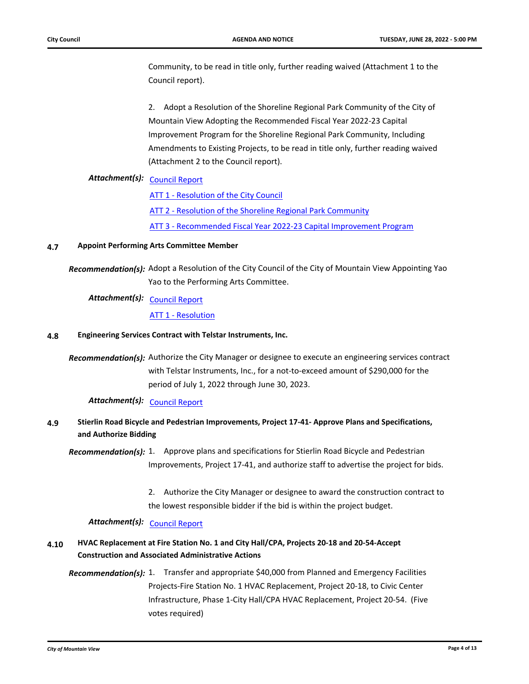Community, to be read in title only, further reading waived (Attachment 1 to the Council report).

2. Adopt a Resolution of the Shoreline Regional Park Community of the City of Mountain View Adopting the Recommended Fiscal Year 2022-23 Capital Improvement Program for the Shoreline Regional Park Community, Including Amendments to Existing Projects, to be read in title only, further reading waived (Attachment 2 to the Council report).

# Attachment(s): <u>[Council Report](http://mountainview.legistar.com/gateway.aspx?M=F&ID=6180b026-32d7-448e-8012-d8144f5e92fc.pdf)</u>

[ATT 1 - Resolution of the City Council](http://mountainview.legistar.com/gateway.aspx?M=F&ID=b2424db6-5c10-4d55-acd0-2e29572d0507.pdf)

[ATT 2 - Resolution of the Shoreline Regional Park Community](http://mountainview.legistar.com/gateway.aspx?M=F&ID=0d97ffe0-ef9e-40ce-a8d5-400420afff64.pdf)

[ATT 3 - Recommended Fiscal Year 2022-23 Capital Improvement Program](http://mountainview.legistar.com/gateway.aspx?M=F&ID=365e131c-0b35-468d-b03c-647f3440beea.pdf)

### **4.7 [Appoint Performing Arts Committee Member](http://mountainview.legistar.com/gateway.aspx?m=l&id=6641)**

Recommendation(s): Adopt a Resolution of the City Council of the City of Mountain View Appointing Yao Yao to the Performing Arts Committee.

# Attachment(s): <u>[Council Report](http://mountainview.legistar.com/gateway.aspx?M=F&ID=d6af1d90-cfaa-4dc4-abdc-a226ddca39f2.pdf)</u>

[ATT 1 - Resolution](http://mountainview.legistar.com/gateway.aspx?M=F&ID=bf5a3111-f380-4309-9828-4293d859f5a9.pdf)

#### **4.8 [Engineering Services Contract with Telstar Instruments, Inc.](http://mountainview.legistar.com/gateway.aspx?m=l&id=6429)**

Recommendation(s): Authorize the City Manager or designee to execute an engineering services contract with Telstar Instruments, Inc., for a not-to-exceed amount of \$290,000 for the period of July 1, 2022 through June 30, 2023.

Attachment(s): [Council Report](http://mountainview.legistar.com/gateway.aspx?M=F&ID=a84c613d-329a-43a6-98c2-4f0f436c9a11.pdf)

# **4.9 [Stierlin Road Bicycle and Pedestrian Improvements, Project 17-41- Approve Plans and Specifications,](http://mountainview.legistar.com/gateway.aspx?m=l&id=6500)  and Authorize Bidding**

Recommendation(s): 1. Approve plans and specifications for Stierlin Road Bicycle and Pedestrian Improvements, Project 17-41, and authorize staff to advertise the project for bids.

> 2. Authorize the City Manager or designee to award the construction contract to the lowest responsible bidder if the bid is within the project budget.

# Attachment(s): [Council Report](http://mountainview.legistar.com/gateway.aspx?M=F&ID=33144264-5dba-4957-a1ed-907c012ac8ac.pdf)

# **4.10 [HVAC Replacement at Fire Station No. 1 and City Hall/CPA, Projects 20-18 and 20-54-Accept](http://mountainview.legistar.com/gateway.aspx?m=l&id=6504)  Construction and Associated Administrative Actions**

Recommendation(s): 1. Transfer and appropriate \$40,000 from Planned and Emergency Facilities Projects-Fire Station No. 1 HVAC Replacement, Project 20-18, to Civic Center Infrastructure, Phase 1-City Hall/CPA HVAC Replacement, Project 20-54. (Five votes required)

*City of Mountain View* **Page 4 of 13**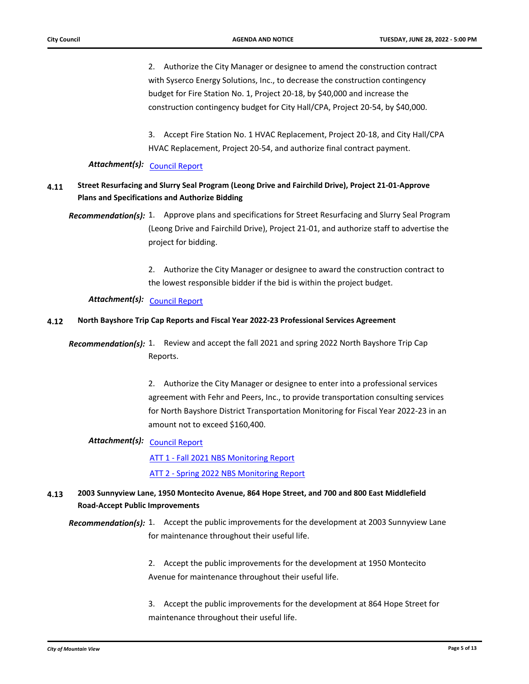2. Authorize the City Manager or designee to amend the construction contract with Syserco Energy Solutions, Inc., to decrease the construction contingency budget for Fire Station No. 1, Project 20-18, by \$40,000 and increase the construction contingency budget for City Hall/CPA, Project 20-54, by \$40,000.

3. Accept Fire Station No. 1 HVAC Replacement, Project 20-18, and City Hall/CPA HVAC Replacement, Project 20-54, and authorize final contract payment.

# Attachment(s): [Council Report](http://mountainview.legistar.com/gateway.aspx?M=F&ID=f18b0661-cafa-46a3-913f-acef2be2af01.pdf)

## **4.11 [Street Resurfacing and Slurry Seal Program \(Leong Drive and Fairchild Drive\), Project 21-01-Approve](http://mountainview.legistar.com/gateway.aspx?m=l&id=6506)  Plans and Specifications and Authorize Bidding**

Recommendation(s): 1. Approve plans and specifications for Street Resurfacing and Slurry Seal Program (Leong Drive and Fairchild Drive), Project 21-01, and authorize staff to advertise the project for bidding.

> 2. Authorize the City Manager or designee to award the construction contract to the lowest responsible bidder if the bid is within the project budget.

*Attachment(s):* [Council Report](http://mountainview.legistar.com/gateway.aspx?M=F&ID=38415898-c41f-425d-8fac-6a6d5bc37aeb.pdf)

#### **4.12 [North Bayshore Trip Cap Reports and Fiscal Year 2022-23 Professional Services Agreement](http://mountainview.legistar.com/gateway.aspx?m=l&id=6519)**

**Recommendation(s):** 1. Review and accept the fall 2021 and spring 2022 North Bayshore Trip Cap Reports.

> 2. Authorize the City Manager or designee to enter into a professional services agreement with Fehr and Peers, Inc., to provide transportation consulting services for North Bayshore District Transportation Monitoring for Fiscal Year 2022-23 in an amount not to exceed \$160,400.

# Attachment(s): <u>[Council Report](http://mountainview.legistar.com/gateway.aspx?M=F&ID=33904a00-d973-446d-ba38-56301a7293c5.pdf)</u>

[ATT 1 - Fall 2021 NBS Monitoring Report](http://mountainview.legistar.com/gateway.aspx?M=F&ID=65e414cd-0018-47fb-824c-d0feec2fa366.pdf)

[ATT 2 - Spring 2022 NBS Monitoring Report](http://mountainview.legistar.com/gateway.aspx?M=F&ID=5a782c61-2d16-43ad-bcf6-1bfe0051b885.pdf)

## **4.13 [2003 Sunnyview Lane, 1950 Montecito Avenue, 864 Hope Street, and 700 and 800 East Middlefield](http://mountainview.legistar.com/gateway.aspx?m=l&id=6528)  Road-Accept Public Improvements**

Recommendation(s): 1. Accept the public improvements for the development at 2003 Sunnyview Lane for maintenance throughout their useful life.

> 2. Accept the public improvements for the development at 1950 Montecito Avenue for maintenance throughout their useful life.

3. Accept the public improvements for the development at 864 Hope Street for maintenance throughout their useful life.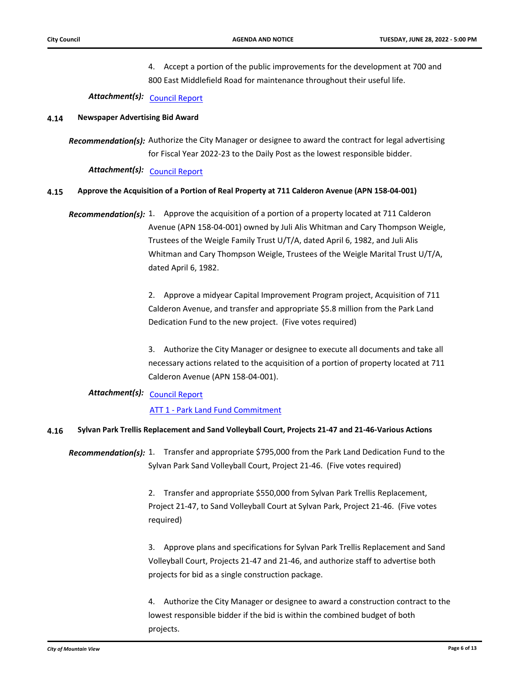4. Accept a portion of the public improvements for the development at 700 and 800 East Middlefield Road for maintenance throughout their useful life.

Attachment(s): [Council Report](http://mountainview.legistar.com/gateway.aspx?M=F&ID=85e88f8f-5651-4574-9115-b25b0700b29b.pdf)

### **4.14 [Newspaper Advertising Bid Award](http://mountainview.legistar.com/gateway.aspx?m=l&id=6549)**

Recommendation(s): Authorize the City Manager or designee to award the contract for legal advertising for Fiscal Year 2022-23 to the Daily Post as the lowest responsible bidder.

Attachment(s): [Council Report](http://mountainview.legistar.com/gateway.aspx?M=F&ID=1f70f0fd-6db3-449d-8584-e6e4356d091e.pdf)

### **4.15 [Approve the Acquisition of a Portion of Real Property at 711 Calderon Avenue \(APN 158-04-001\)](http://mountainview.legistar.com/gateway.aspx?m=l&id=6552)**

Recommendation(s): 1. Approve the acquisition of a portion of a property located at 711 Calderon Avenue (APN 158-04-001) owned by Juli Alis Whitman and Cary Thompson Weigle, Trustees of the Weigle Family Trust U/T/A, dated April 6, 1982, and Juli Alis Whitman and Cary Thompson Weigle, Trustees of the Weigle Marital Trust U/T/A, dated April 6, 1982.

> 2. Approve a midyear Capital Improvement Program project, Acquisition of 711 Calderon Avenue, and transfer and appropriate \$5.8 million from the Park Land Dedication Fund to the new project. (Five votes required)

3. Authorize the City Manager or designee to execute all documents and take all necessary actions related to the acquisition of a portion of property located at 711 Calderon Avenue (APN 158-04-001).

# Attachment(s): <u>[Council Report](http://mountainview.legistar.com/gateway.aspx?M=F&ID=b88d2c35-6094-47bb-bc8f-805bfef7ff82.pdf)</u>

### [ATT 1 - Park Land Fund Commitment](http://mountainview.legistar.com/gateway.aspx?M=F&ID=feb8092b-ebf1-4729-acdd-24138fcb190c.pdf)

### **4.16 [Sylvan Park Trellis Replacement and Sand Volleyball Court, Projects 21-47 and 21-46-Various Actions](http://mountainview.legistar.com/gateway.aspx?m=l&id=6553)**

Recommendation(s): 1. Transfer and appropriate \$795,000 from the Park Land Dedication Fund to the Sylvan Park Sand Volleyball Court, Project 21-46. (Five votes required)

> 2. Transfer and appropriate \$550,000 from Sylvan Park Trellis Replacement, Project 21-47, to Sand Volleyball Court at Sylvan Park, Project 21-46. (Five votes required)

3. Approve plans and specifications for Sylvan Park Trellis Replacement and Sand Volleyball Court, Projects 21-47 and 21-46, and authorize staff to advertise both projects for bid as a single construction package.

4. Authorize the City Manager or designee to award a construction contract to the lowest responsible bidder if the bid is within the combined budget of both projects.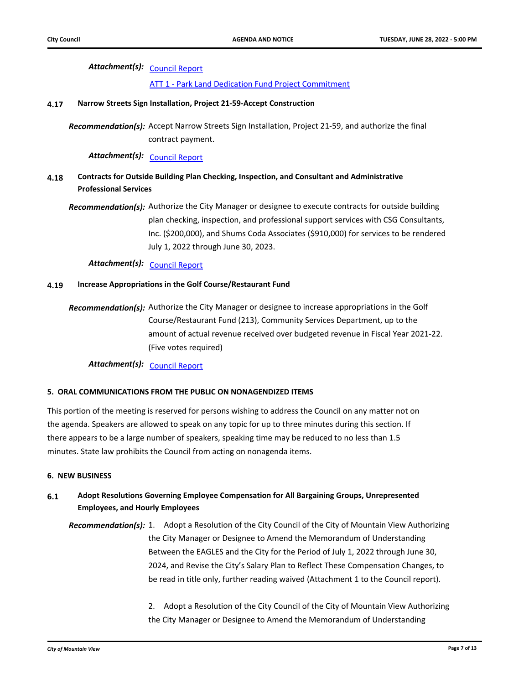# Attachment(s): <u>[Council Report](http://mountainview.legistar.com/gateway.aspx?M=F&ID=18fa3bb9-fd91-4d0d-84d0-407a20f745e1.pdf)</u>

[ATT 1 - Park Land Dedication Fund Project Commitment](http://mountainview.legistar.com/gateway.aspx?M=F&ID=67fa6fa4-e03b-4588-b16f-bf9d1e049c51.pdf)

#### **4.17 [Narrow Streets Sign Installation, Project 21-59-Accept Construction](http://mountainview.legistar.com/gateway.aspx?m=l&id=6556)**

Recommendation(s): Accept Narrow Streets Sign Installation, Project 21-59, and authorize the final contract payment.

Attachment(s): [Council Report](http://mountainview.legistar.com/gateway.aspx?M=F&ID=cff9a099-d6e7-4a9d-a4c8-0c0b916da2d3.pdf)

# **4.18 [Contracts for Outside Building Plan Checking, Inspection, and Consultant and Administrative](http://mountainview.legistar.com/gateway.aspx?m=l&id=6592)  Professional Services**

Recommendation(s): Authorize the City Manager or designee to execute contracts for outside building plan checking, inspection, and professional support services with CSG Consultants, Inc. (\$200,000), and Shums Coda Associates (\$910,000) for services to be rendered July 1, 2022 through June 30, 2023.

Attachment(s): [Council Report](http://mountainview.legistar.com/gateway.aspx?M=F&ID=f1611d5e-4152-4dc1-ba26-2a1681d2e578.pdf)

### **4.19 [Increase Appropriations in the Golf Course/Restaurant Fund](http://mountainview.legistar.com/gateway.aspx?m=l&id=6642)**

Recommendation(s): Authorize the City Manager or designee to increase appropriations in the Golf Course/Restaurant Fund (213), Community Services Department, up to the amount of actual revenue received over budgeted revenue in Fiscal Year 2021-22. (Five votes required)

Attachment(s): [Council Report](http://mountainview.legistar.com/gateway.aspx?M=F&ID=20f44193-c3e1-4f2b-9b1b-87eccaff3580.pdf)

#### **5. ORAL COMMUNICATIONS FROM THE PUBLIC ON NONAGENDIZED ITEMS**

This portion of the meeting is reserved for persons wishing to address the Council on any matter not on the agenda. Speakers are allowed to speak on any topic for up to three minutes during this section. If there appears to be a large number of speakers, speaking time may be reduced to no less than 1.5 minutes. State law prohibits the Council from acting on nonagenda items.

#### **6. NEW BUSINESS**

# **6.1 [Adopt Resolutions Governing Employee Compensation for All Bargaining Groups, Unrepresented](http://mountainview.legistar.com/gateway.aspx?m=l&id=6425)  Employees, and Hourly Employees**

Recommendation(s): 1. Adopt a Resolution of the City Council of the City of Mountain View Authorizing the City Manager or Designee to Amend the Memorandum of Understanding Between the EAGLES and the City for the Period of July 1, 2022 through June 30, 2024, and Revise the City's Salary Plan to Reflect These Compensation Changes, to be read in title only, further reading waived (Attachment 1 to the Council report).

> 2. Adopt a Resolution of the City Council of the City of Mountain View Authorizing the City Manager or Designee to Amend the Memorandum of Understanding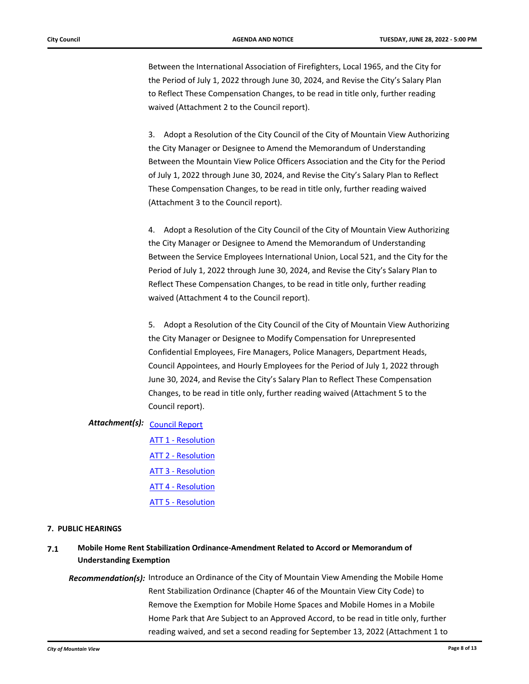Between the International Association of Firefighters, Local 1965, and the City for the Period of July 1, 2022 through June 30, 2024, and Revise the City's Salary Plan to Reflect These Compensation Changes, to be read in title only, further reading waived (Attachment 2 to the Council report).

3. Adopt a Resolution of the City Council of the City of Mountain View Authorizing the City Manager or Designee to Amend the Memorandum of Understanding Between the Mountain View Police Officers Association and the City for the Period of July 1, 2022 through June 30, 2024, and Revise the City's Salary Plan to Reflect These Compensation Changes, to be read in title only, further reading waived (Attachment 3 to the Council report).

4. Adopt a Resolution of the City Council of the City of Mountain View Authorizing the City Manager or Designee to Amend the Memorandum of Understanding Between the Service Employees International Union, Local 521, and the City for the Period of July 1, 2022 through June 30, 2024, and Revise the City's Salary Plan to Reflect These Compensation Changes, to be read in title only, further reading waived (Attachment 4 to the Council report).

5. Adopt a Resolution of the City Council of the City of Mountain View Authorizing the City Manager or Designee to Modify Compensation for Unrepresented Confidential Employees, Fire Managers, Police Managers, Department Heads, Council Appointees, and Hourly Employees for the Period of July 1, 2022 through June 30, 2024, and Revise the City's Salary Plan to Reflect These Compensation Changes, to be read in title only, further reading waived (Attachment 5 to the Council report).

# Attachment(s): <u>[Council Report](http://mountainview.legistar.com/gateway.aspx?M=F&ID=666f89fc-527e-4e65-bab9-da38a16b7f3e.pdf)</u>

[ATT 1 - Resolution](http://mountainview.legistar.com/gateway.aspx?M=F&ID=43a37771-be0f-4dbf-b25b-2c2bc5828931.pdf) [ATT 2 - Resolution](http://mountainview.legistar.com/gateway.aspx?M=F&ID=3cbc5f86-7ced-460e-957a-ab0c8ee71738.pdf) [ATT 3 - Resolution](http://mountainview.legistar.com/gateway.aspx?M=F&ID=88871c11-dfe0-4f61-b85d-5fc4fb5c1287.pdf) [ATT 4 - Resolution](http://mountainview.legistar.com/gateway.aspx?M=F&ID=6caec52a-f4b8-4411-ac93-761309ca041c.pdf) [ATT 5 - Resolution](http://mountainview.legistar.com/gateway.aspx?M=F&ID=ee548220-badf-48a9-9015-fd57197f874f.pdf)

### **7. PUBLIC HEARINGS**

# **7.1 [Mobile Home Rent Stabilization Ordinance-Amendment Related to Accord or Memorandum of](http://mountainview.legistar.com/gateway.aspx?m=l&id=6380)  Understanding Exemption**

Recommendation(s): Introduce an Ordinance of the City of Mountain View Amending the Mobile Home Rent Stabilization Ordinance (Chapter 46 of the Mountain View City Code) to Remove the Exemption for Mobile Home Spaces and Mobile Homes in a Mobile Home Park that Are Subject to an Approved Accord, to be read in title only, further reading waived, and set a second reading for September 13, 2022 (Attachment 1 to

*City of Mountain View* **Page 8 of 13**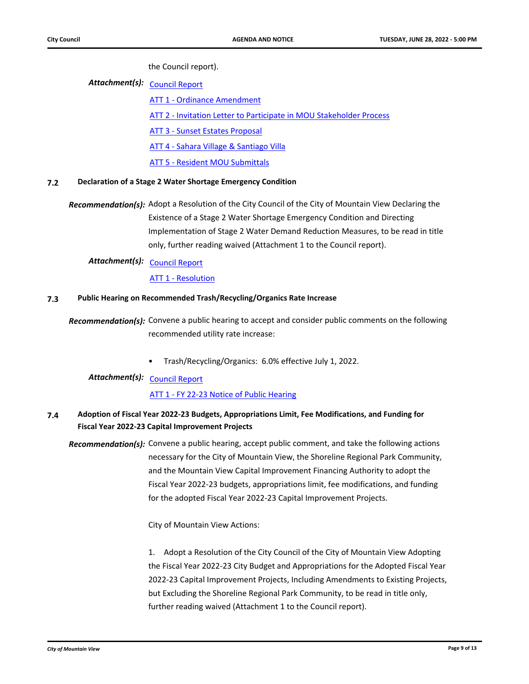the Council report).

Attachment(s): <u>[Council Report](http://mountainview.legistar.com/gateway.aspx?M=F&ID=08a1a294-5fa0-42fb-bc48-545295dabc97.pdf)</u>

[ATT 1 - Ordinance Amendment](http://mountainview.legistar.com/gateway.aspx?M=F&ID=4ffeb660-d395-4b81-942f-b7d12617fc27.pdf) [ATT 2 - Invitation Letter to Participate in MOU Stakeholder Process](http://mountainview.legistar.com/gateway.aspx?M=F&ID=db29c79f-e141-4fe3-a076-46ee279977aa.pdf) [ATT 3 - Sunset Estates Proposal](http://mountainview.legistar.com/gateway.aspx?M=F&ID=0909f75f-8532-4332-a502-1e6d196b0d5b.pdf) [ATT 4 - Sahara Village & Santiago Villa](http://mountainview.legistar.com/gateway.aspx?M=F&ID=80fb3507-5649-40de-b190-b2612a50e11d.pdf) [ATT 5 - Resident MOU Submittals](http://mountainview.legistar.com/gateway.aspx?M=F&ID=61a412b4-f634-41ec-8a3e-235a9f26fab9.pdf)

### **7.2 [Declaration of a Stage 2 Water Shortage Emergency Condition](http://mountainview.legistar.com/gateway.aspx?m=l&id=6440)**

Recommendation(s): Adopt a Resolution of the City Council of the City of Mountain View Declaring the Existence of a Stage 2 Water Shortage Emergency Condition and Directing Implementation of Stage 2 Water Demand Reduction Measures, to be read in title only, further reading waived (Attachment 1 to the Council report).

Attachment(s): <u>[Council Report](http://mountainview.legistar.com/gateway.aspx?M=F&ID=87aedff1-bb99-4be2-ae41-c4fb40cb3381.pdf)</u>

[ATT 1 - Resolution](http://mountainview.legistar.com/gateway.aspx?M=F&ID=c7509d8e-78ae-420b-bd01-70c8235a5226.pdf)

### **7.3 [Public Hearing on Recommended Trash/Recycling/Organics Rate Increase](http://mountainview.legistar.com/gateway.aspx?m=l&id=6589)**

Recommendation(s): Convene a public hearing to accept and consider public comments on the following recommended utility rate increase:

• Trash/Recycling/Organics: 6.0% effective July 1, 2022.

Attachment(s): <u>[Council Report](http://mountainview.legistar.com/gateway.aspx?M=F&ID=4cce4f9f-ec92-46fc-978f-064457d8e3ea.pdf)</u>

### [ATT 1 - FY 22-23 Notice of Public Hearing](http://mountainview.legistar.com/gateway.aspx?M=F&ID=81b718d0-46f8-498b-95ed-021a6407caa5.pdf)

# **7.4 [Adoption of Fiscal Year 2022-23 Budgets, Appropriations Limit, Fee Modifications, and Funding for](http://mountainview.legistar.com/gateway.aspx?m=l&id=6365)  Fiscal Year 2022-23 Capital Improvement Projects**

Recommendation(s): Convene a public hearing, accept public comment, and take the following actions necessary for the City of Mountain View, the Shoreline Regional Park Community, and the Mountain View Capital Improvement Financing Authority to adopt the Fiscal Year 2022-23 budgets, appropriations limit, fee modifications, and funding for the adopted Fiscal Year 2022-23 Capital Improvement Projects.

City of Mountain View Actions:

1. Adopt a Resolution of the City Council of the City of Mountain View Adopting the Fiscal Year 2022-23 City Budget and Appropriations for the Adopted Fiscal Year 2022-23 Capital Improvement Projects, Including Amendments to Existing Projects, but Excluding the Shoreline Regional Park Community, to be read in title only, further reading waived (Attachment 1 to the Council report).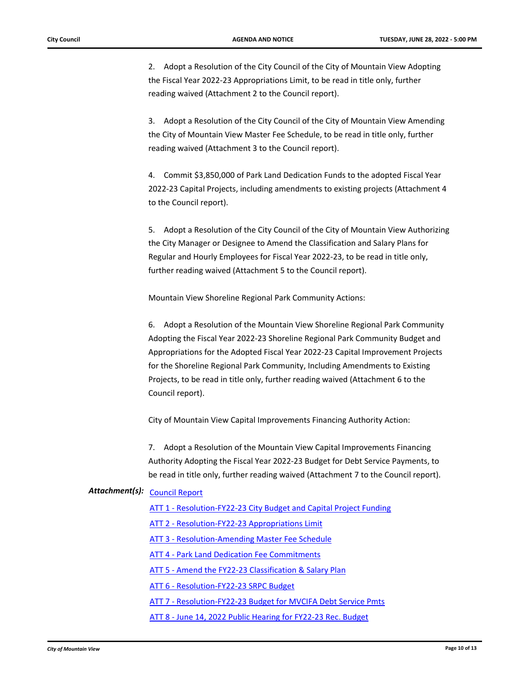2. Adopt a Resolution of the City Council of the City of Mountain View Adopting the Fiscal Year 2022-23 Appropriations Limit, to be read in title only, further reading waived (Attachment 2 to the Council report).

3. Adopt a Resolution of the City Council of the City of Mountain View Amending the City of Mountain View Master Fee Schedule, to be read in title only, further reading waived (Attachment 3 to the Council report).

4. Commit \$3,850,000 of Park Land Dedication Funds to the adopted Fiscal Year 2022-23 Capital Projects, including amendments to existing projects (Attachment 4 to the Council report).

5. Adopt a Resolution of the City Council of the City of Mountain View Authorizing the City Manager or Designee to Amend the Classification and Salary Plans for Regular and Hourly Employees for Fiscal Year 2022-23, to be read in title only, further reading waived (Attachment 5 to the Council report).

Mountain View Shoreline Regional Park Community Actions:

6. Adopt a Resolution of the Mountain View Shoreline Regional Park Community Adopting the Fiscal Year 2022-23 Shoreline Regional Park Community Budget and Appropriations for the Adopted Fiscal Year 2022-23 Capital Improvement Projects for the Shoreline Regional Park Community, Including Amendments to Existing Projects, to be read in title only, further reading waived (Attachment 6 to the Council report).

City of Mountain View Capital Improvements Financing Authority Action:

7. Adopt a Resolution of the Mountain View Capital Improvements Financing Authority Adopting the Fiscal Year 2022-23 Budget for Debt Service Payments, to be read in title only, further reading waived (Attachment 7 to the Council report).

# Attachment(s): <u>[Council Report](http://mountainview.legistar.com/gateway.aspx?M=F&ID=c0d47609-068c-4fc1-98ff-84f844d0fe0b.pdf)</u>

[ATT 1 - Resolution-FY22-23 City Budget and Capital Project Funding](http://mountainview.legistar.com/gateway.aspx?M=F&ID=cc6fc631-5f40-4553-9808-fd6db9faff09.pdf)

- [ATT 2 Resolution-FY22-23 Appropriations Limit](http://mountainview.legistar.com/gateway.aspx?M=F&ID=7f5aa319-5a8c-428d-910a-b7edb40faa79.pdf)
- [ATT 3 Resolution-Amending Master Fee Schedule](http://mountainview.legistar.com/gateway.aspx?M=F&ID=8b8f4bf0-de30-4c91-b9e0-179fae2c811f.pdf)
- [ATT 4 Park Land Dedication Fee Commitments](http://mountainview.legistar.com/gateway.aspx?M=F&ID=376f6cd8-078c-48e3-9bd5-9f8765664ea9.pdf)
- [ATT 5 Amend the FY22-23 Classification & Salary Plan](http://mountainview.legistar.com/gateway.aspx?M=F&ID=825a7d3c-db1c-440d-9ed5-79ecb0ff1557.pdf)
- [ATT 6 Resolution-FY22-23 SRPC Budget](http://mountainview.legistar.com/gateway.aspx?M=F&ID=e769d8ca-f25f-4bc6-b1fd-28a9b40dde36.pdf)
- [ATT 7 Resolution-FY22-23 Budget for MVCIFA Debt Service Pmts](http://mountainview.legistar.com/gateway.aspx?M=F&ID=b90de56b-a2c7-4e5c-8066-49dfe13c2301.pdf)
- [ATT 8 June 14, 2022 Public Hearing for FY22-23 Rec. Budget](https://mountainview.legistar.com/LegislationDetail.aspx?ID=5689019&GUID=3740F606-0FB1-40EC-8CC2-7FEB3BE58858&Options=&Search=)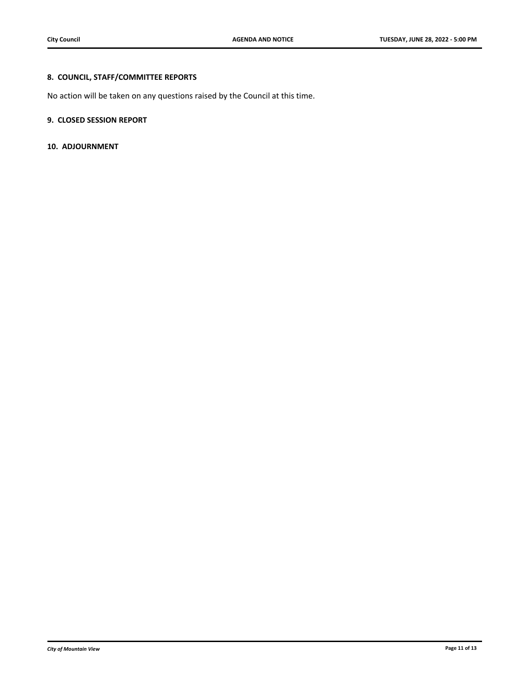# **8. COUNCIL, STAFF/COMMITTEE REPORTS**

No action will be taken on any questions raised by the Council at this time.

### **9. CLOSED SESSION REPORT**

**10. ADJOURNMENT**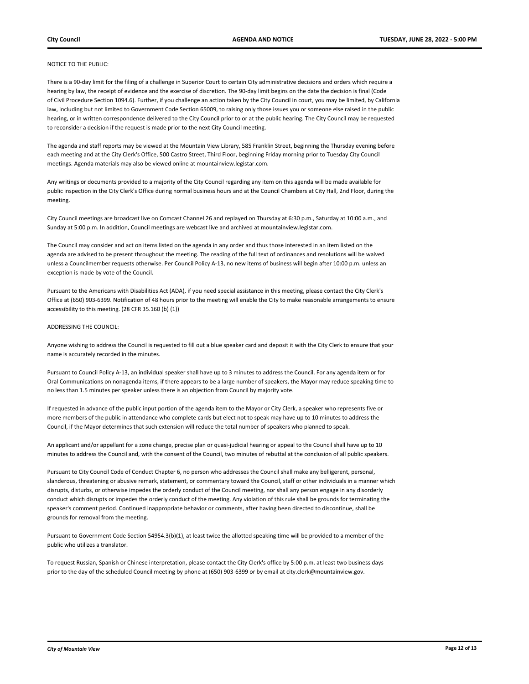#### NOTICE TO THE PUBLIC:

There is a 90-day limit for the filing of a challenge in Superior Court to certain City administrative decisions and orders which require a hearing by law, the receipt of evidence and the exercise of discretion. The 90-day limit begins on the date the decision is final (Code of Civil Procedure Section 1094.6). Further, if you challenge an action taken by the City Council in court, you may be limited, by California law, including but not limited to Government Code Section 65009, to raising only those issues you or someone else raised in the public hearing, or in written correspondence delivered to the City Council prior to or at the public hearing. The City Council may be requested to reconsider a decision if the request is made prior to the next City Council meeting.

The agenda and staff reports may be viewed at the Mountain View Library, 585 Franklin Street, beginning the Thursday evening before each meeting and at the City Clerk's Office, 500 Castro Street, Third Floor, beginning Friday morning prior to Tuesday City Council meetings. Agenda materials may also be viewed online at mountainview.legistar.com.

Any writings or documents provided to a majority of the City Council regarding any item on this agenda will be made available for public inspection in the City Clerk's Office during normal business hours and at the Council Chambers at City Hall, 2nd Floor, during the meeting.

City Council meetings are broadcast live on Comcast Channel 26 and replayed on Thursday at 6:30 p.m., Saturday at 10:00 a.m., and Sunday at 5:00 p.m. In addition, Council meetings are webcast live and archived at mountainview.legistar.com.

The Council may consider and act on items listed on the agenda in any order and thus those interested in an item listed on the agenda are advised to be present throughout the meeting. The reading of the full text of ordinances and resolutions will be waived unless a Councilmember requests otherwise. Per Council Policy A-13, no new items of business will begin after 10:00 p.m. unless an exception is made by vote of the Council.

Pursuant to the Americans with Disabilities Act (ADA), if you need special assistance in this meeting, please contact the City Clerk's Office at (650) 903-6399. Notification of 48 hours prior to the meeting will enable the City to make reasonable arrangements to ensure accessibility to this meeting. (28 CFR 35.160 (b) (1))

#### ADDRESSING THE COUNCIL:

Anyone wishing to address the Council is requested to fill out a blue speaker card and deposit it with the City Clerk to ensure that your name is accurately recorded in the minutes.

Pursuant to Council Policy A-13, an individual speaker shall have up to 3 minutes to address the Council. For any agenda item or for Oral Communications on nonagenda items, if there appears to be a large number of speakers, the Mayor may reduce speaking time to no less than 1.5 minutes per speaker unless there is an objection from Council by majority vote.

If requested in advance of the public input portion of the agenda item to the Mayor or City Clerk, a speaker who represents five or more members of the public in attendance who complete cards but elect not to speak may have up to 10 minutes to address the Council, if the Mayor determines that such extension will reduce the total number of speakers who planned to speak.

An applicant and/or appellant for a zone change, precise plan or quasi-judicial hearing or appeal to the Council shall have up to 10 minutes to address the Council and, with the consent of the Council, two minutes of rebuttal at the conclusion of all public speakers.

Pursuant to City Council Code of Conduct Chapter 6, no person who addresses the Council shall make any belligerent, personal, slanderous, threatening or abusive remark, statement, or commentary toward the Council, staff or other individuals in a manner which disrupts, disturbs, or otherwise impedes the orderly conduct of the Council meeting, nor shall any person engage in any disorderly conduct which disrupts or impedes the orderly conduct of the meeting. Any violation of this rule shall be grounds for terminating the speaker's comment period. Continued inappropriate behavior or comments, after having been directed to discontinue, shall be grounds for removal from the meeting.

Pursuant to Government Code Section 54954.3(b)(1), at least twice the allotted speaking time will be provided to a member of the public who utilizes a translator.

To request Russian, Spanish or Chinese interpretation, please contact the City Clerk's office by 5:00 p.m. at least two business days prior to the day of the scheduled Council meeting by phone at (650) 903-6399 or by email at city.clerk@mountainview.gov.